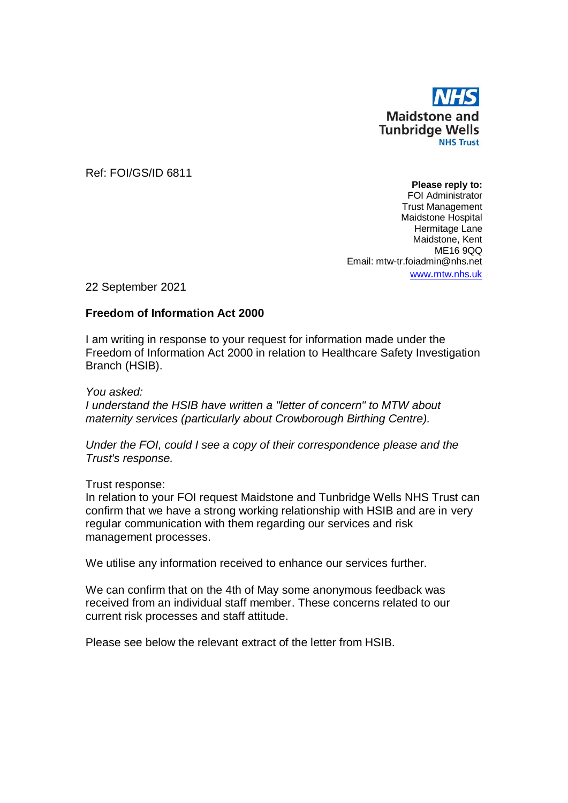

Ref: FOI/GS/ID 6811

**Please reply to:** FOI Administrator Trust Management Maidstone Hospital Hermitage Lane Maidstone, Kent ME16 9QQ Email: mtw-tr.foiadmin@nhs.net www.[mtw.nhs.uk](http://www.mtw.nhs.uk/)

22 September 2021

## **Freedom of Information Act 2000**

I am writing in response to your request for information made under the Freedom of Information Act 2000 in relation to Healthcare Safety Investigation Branch (HSIB).

*You asked: I understand the HSIB have written a "letter of concern" to MTW about maternity services (particularly about Crowborough Birthing Centre).*

*Under the FOI, could I see a copy of their correspondence please and the Trust's response.*

## Trust response:

In relation to your FOI request Maidstone and Tunbridge Wells NHS Trust can confirm that we have a strong working relationship with HSIB and are in very regular communication with them regarding our services and risk management processes.

We utilise any information received to enhance our services further.

We can confirm that on the 4th of May some anonymous feedback was received from an individual staff member. These concerns related to our current risk processes and staff attitude.

Please see below the relevant extract of the letter from HSIB.